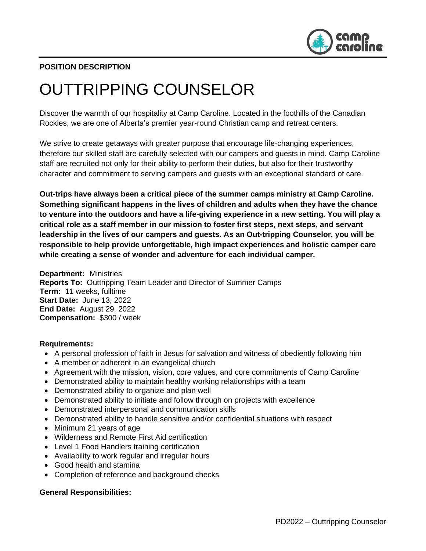

# **POSITION DESCRIPTION**

# OUTTRIPPING COUNSELOR

Discover the warmth of our hospitality at Camp Caroline. Located in the foothills of the Canadian Rockies, we are one of Alberta's premier year-round Christian camp and retreat centers.

We strive to create getaways with greater purpose that encourage life-changing experiences, therefore our skilled staff are carefully selected with our campers and guests in mind. Camp Caroline staff are recruited not only for their ability to perform their duties, but also for their trustworthy character and commitment to serving campers and guests with an exceptional standard of care.

**Out-trips have always been a critical piece of the summer camps ministry at Camp Caroline. Something significant happens in the lives of children and adults when they have the chance to venture into the outdoors and have a life-giving experience in a new setting. You will play a critical role as a staff member in our mission to foster first steps, next steps, and servant leadership in the lives of our campers and guests. As an Out-tripping Counselor, you will be responsible to help provide unforgettable, high impact experiences and holistic camper care while creating a sense of wonder and adventure for each individual camper.**

**Department:** Ministries **Reports To:** Outtripping Team Leader and Director of Summer Camps **Term:** 11 weeks, fulltime **Start Date:** June 13, 2022 **End Date:** August 29, 2022 **Compensation:** \$300 / week

#### **Requirements:**

- A personal profession of faith in Jesus for salvation and witness of obediently following him
- A member or adherent in an evangelical church
- Agreement with the mission, vision, core values, and core commitments of Camp Caroline
- Demonstrated ability to maintain healthy working relationships with a team
- Demonstrated ability to organize and plan well
- Demonstrated ability to initiate and follow through on projects with excellence
- Demonstrated interpersonal and communication skills
- Demonstrated ability to handle sensitive and/or confidential situations with respect
- Minimum 21 years of age
- Wilderness and Remote First Aid certification
- Level 1 Food Handlers training certification
- Availability to work regular and irregular hours
- Good health and stamina
- Completion of reference and background checks

#### **General Responsibilities:**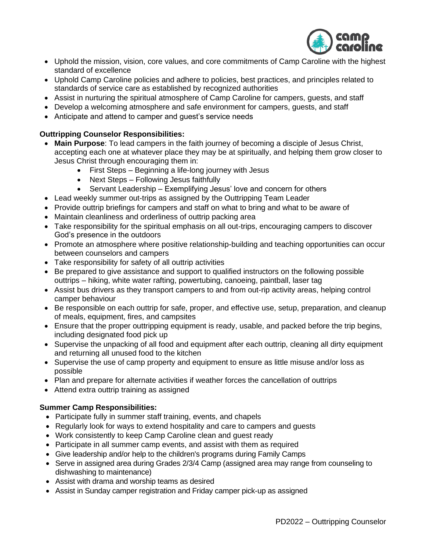

- Uphold the mission, vision, core values, and core commitments of Camp Caroline with the highest standard of excellence
- Uphold Camp Caroline policies and adhere to policies, best practices, and principles related to standards of service care as established by recognized authorities
- Assist in nurturing the spiritual atmosphere of Camp Caroline for campers, guests, and staff
- Develop a welcoming atmosphere and safe environment for campers, guests, and staff
- Anticipate and attend to camper and guest's service needs

# **Outtripping Counselor Responsibilities:**

- **Main Purpose**: To lead campers in the faith journey of becoming a disciple of Jesus Christ, accepting each one at whatever place they may be at spiritually, and helping them grow closer to Jesus Christ through encouraging them in:
	- First Steps Beginning a life-long journey with Jesus
	- Next Steps Following Jesus faithfully
	- Servant Leadership Exemplifying Jesus' love and concern for others
- Lead weekly summer out-trips as assigned by the Outtripping Team Leader
- Provide outtrip briefings for campers and staff on what to bring and what to be aware of
- Maintain cleanliness and orderliness of outtrip packing area
- Take responsibility for the spiritual emphasis on all out-trips, encouraging campers to discover God's presence in the outdoors
- Promote an atmosphere where positive relationship-building and teaching opportunities can occur between counselors and campers
- Take responsibility for safety of all outtrip activities
- Be prepared to give assistance and support to qualified instructors on the following possible outtrips – hiking, white water rafting, powertubing, canoeing, paintball, laser tag
- Assist bus drivers as they transport campers to and from out-rip activity areas, helping control camper behaviour
- Be responsible on each outtrip for safe, proper, and effective use, setup, preparation, and cleanup of meals, equipment, fires, and campsites
- Ensure that the proper outtripping equipment is ready, usable, and packed before the trip begins, including designated food pick up
- Supervise the unpacking of all food and equipment after each outtrip, cleaning all dirty equipment and returning all unused food to the kitchen
- Supervise the use of camp property and equipment to ensure as little misuse and/or loss as possible
- Plan and prepare for alternate activities if weather forces the cancellation of outtrips
- Attend extra outtrip training as assigned

## **Summer Camp Responsibilities:**

- Participate fully in summer staff training, events, and chapels
- Regularly look for ways to extend hospitality and care to campers and guests
- Work consistently to keep Camp Caroline clean and guest ready
- Participate in all summer camp events, and assist with them as required
- Give leadership and/or help to the children's programs during Family Camps
- Serve in assigned area during Grades 2/3/4 Camp (assigned area may range from counseling to dishwashing to maintenance)
- Assist with drama and worship teams as desired
- Assist in Sunday camper registration and Friday camper pick-up as assigned